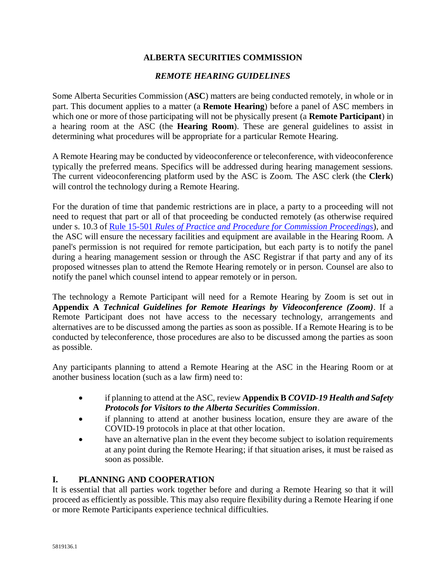### **ALBERTA SECURITIES COMMISSION**

### *REMOTE HEARING GUIDELINES*

Some Alberta Securities Commission (**ASC**) matters are being conducted remotely, in whole or in part. This document applies to a matter (a **Remote Hearing**) before a panel of ASC members in which one or more of those participating will not be physically present (a **Remote Participant**) in a hearing room at the ASC (the **Hearing Room**). These are general guidelines to assist in determining what procedures will be appropriate for a particular Remote Hearing.

A Remote Hearing may be conducted by videoconference or teleconference, with videoconference typically the preferred means. Specifics will be addressed during hearing management sessions. The current videoconferencing platform used by the ASC is Zoom. The ASC clerk (the **Clerk**) will control the technology during a Remote Hearing.

For the duration of time that pandemic restrictions are in place, a party to a proceeding will not need to request that part or all of that proceeding be conducted remotely (as otherwise required under s. 10.3 of Rule 15-501 *[Rules of Practice and Procedure for Commission Proceedings](https://www.albertasecurities.com/-/media/ASC-Documents-part-1/Regulatory-Instruments/2018/10/5445878-v1-15-501-ASC-Rule-Consolidation-Eff-April-1-2019.ashx)*), and the ASC will ensure the necessary facilities and equipment are available in the Hearing Room. A panel's permission is not required for remote participation, but each party is to notify the panel during a hearing management session or through the ASC Registrar if that party and any of its proposed witnesses plan to attend the Remote Hearing remotely or in person. Counsel are also to notify the panel which counsel intend to appear remotely or in person.

The technology a Remote Participant will need for a Remote Hearing by Zoom is set out in **Appendix A** *Technical Guidelines for Remote Hearings by Videoconference (Zoom)*. If a Remote Participant does not have access to the necessary technology, arrangements and alternatives are to be discussed among the parties as soon as possible. If a Remote Hearing is to be conducted by teleconference, those procedures are also to be discussed among the parties as soon as possible.

Any participants planning to attend a Remote Hearing at the ASC in the Hearing Room or at another business location (such as a law firm) need to:

- if planning to attend at the ASC, review **Appendix B** *COVID-19 Health and Safety Protocols for Visitors to the Alberta Securities Commission*.
- if planning to attend at another business location, ensure they are aware of the COVID-19 protocols in place at that other location.
- have an alternative plan in the event they become subject to isolation requirements at any point during the Remote Hearing; if that situation arises, it must be raised as soon as possible.

### **I. PLANNING AND COOPERATION**

It is essential that all parties work together before and during a Remote Hearing so that it will proceed as efficiently as possible. This may also require flexibility during a Remote Hearing if one or more Remote Participants experience technical difficulties.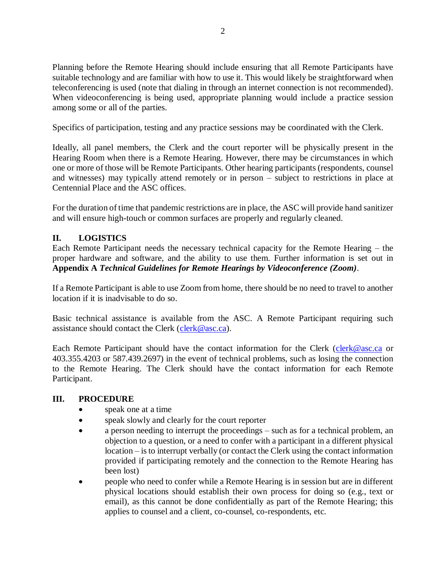Planning before the Remote Hearing should include ensuring that all Remote Participants have suitable technology and are familiar with how to use it. This would likely be straightforward when teleconferencing is used (note that dialing in through an internet connection is not recommended). When videoconferencing is being used, appropriate planning would include a practice session among some or all of the parties.

Specifics of participation, testing and any practice sessions may be coordinated with the Clerk.

Ideally, all panel members, the Clerk and the court reporter will be physically present in the Hearing Room when there is a Remote Hearing. However, there may be circumstances in which one or more of those will be Remote Participants. Other hearing participants (respondents, counsel and witnesses) may typically attend remotely or in person – subject to restrictions in place at Centennial Place and the ASC offices.

For the duration of time that pandemic restrictions are in place, the ASC will provide hand sanitizer and will ensure high-touch or common surfaces are properly and regularly cleaned.

### **II. LOGISTICS**

Each Remote Participant needs the necessary technical capacity for the Remote Hearing – the proper hardware and software, and the ability to use them. Further information is set out in **Appendix A** *Technical Guidelines for Remote Hearings by Videoconference (Zoom)*.

If a Remote Participant is able to use Zoom from home, there should be no need to travel to another location if it is inadvisable to do so.

Basic technical assistance is available from the ASC. A Remote Participant requiring such assistance should contact the Clerk [\(clerk@asc.ca\)](mailto:clerk@asc.ca).

Each Remote Participant should have the contact information for the Clerk [\(clerk@asc.ca](mailto:clerk@asc.ca) or 403.355.4203 or 587.439.2697) in the event of technical problems, such as losing the connection to the Remote Hearing. The Clerk should have the contact information for each Remote Participant.

#### **III. PROCEDURE**

- speak one at a time
- speak slowly and clearly for the court reporter
- a person needing to interrupt the proceedings such as for a technical problem, an objection to a question, or a need to confer with a participant in a different physical location – is to interrupt verbally (or contact the Clerk using the contact information provided if participating remotely and the connection to the Remote Hearing has been lost)
- people who need to confer while a Remote Hearing is in session but are in different physical locations should establish their own process for doing so (e.g., text or email), as this cannot be done confidentially as part of the Remote Hearing; this applies to counsel and a client, co-counsel, co-respondents, etc.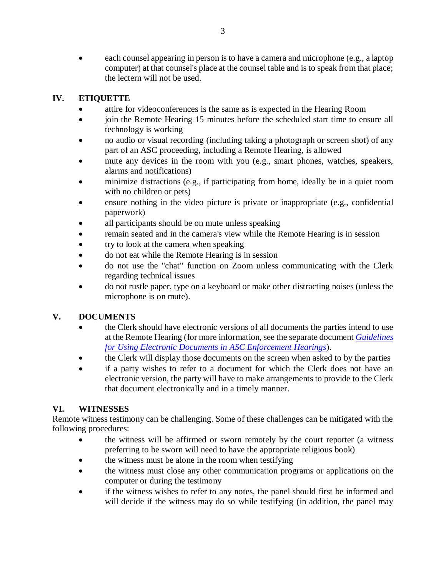each counsel appearing in person is to have a camera and microphone (e.g., a laptop computer) at that counsel's place at the counsel table and is to speak from that place; the lectern will not be used.

### **IV. ETIQUETTE**

- attire for videoconferences is the same as is expected in the Hearing Room
- join the Remote Hearing 15 minutes before the scheduled start time to ensure all technology is working
- no audio or visual recording (including taking a photograph or screen shot) of any part of an ASC proceeding, including a Remote Hearing, is allowed
- mute any devices in the room with you (e.g., smart phones, watches, speakers, alarms and notifications)
- minimize distractions (e.g., if participating from home, ideally be in a quiet room with no children or pets)
- ensure nothing in the video picture is private or inappropriate (e.g., confidential paperwork)
- all participants should be on mute unless speaking
- remain seated and in the camera's view while the Remote Hearing is in session
- try to look at the camera when speaking
- do not eat while the Remote Hearing is in session
- do not use the "chat" function on Zoom unless communicating with the Clerk regarding technical issues
- do not rustle paper, type on a keyboard or make other distracting noises (unless the microphone is on mute).

## **V. DOCUMENTS**

- the Clerk should have electronic versions of all documents the parties intend to use at the Remote Hearing (for more information, see the separate document *[Guidelines](https://www.albertasecurities.com/-/media/ASC-Documents-part-2/Enforcement/E-Hearing-Guidelines.ashx?la=en&hash=1976CDFCAAF9A1DB1FD2406B9A203CA5)  [for Using Electronic Documents in ASC Enforcement Hearings](https://www.albertasecurities.com/-/media/ASC-Documents-part-2/Enforcement/E-Hearing-Guidelines.ashx?la=en&hash=1976CDFCAAF9A1DB1FD2406B9A203CA5)*).
- the Clerk will display those documents on the screen when asked to by the parties
- if a party wishes to refer to a document for which the Clerk does not have an electronic version, the party will have to make arrangements to provide to the Clerk that document electronically and in a timely manner.

## **VI. WITNESSES**

Remote witness testimony can be challenging. Some of these challenges can be mitigated with the following procedures:

- the witness will be affirmed or sworn remotely by the court reporter (a witness preferring to be sworn will need to have the appropriate religious book)
- the witness must be alone in the room when testifying
- the witness must close any other communication programs or applications on the computer or during the testimony
- if the witness wishes to refer to any notes, the panel should first be informed and will decide if the witness may do so while testifying (in addition, the panel may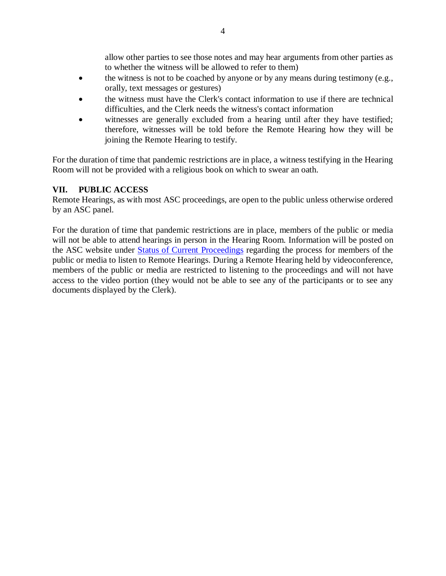allow other parties to see those notes and may hear arguments from other parties as to whether the witness will be allowed to refer to them)

- the witness is not to be coached by anyone or by any means during testimony (e.g., orally, text messages or gestures)
- the witness must have the Clerk's contact information to use if there are technical difficulties, and the Clerk needs the witness's contact information
- witnesses are generally excluded from a hearing until after they have testified; therefore, witnesses will be told before the Remote Hearing how they will be joining the Remote Hearing to testify.

For the duration of time that pandemic restrictions are in place, a witness testifying in the Hearing Room will not be provided with a religious book on which to swear an oath.

### **VII. PUBLIC ACCESS**

Remote Hearings, as with most ASC proceedings, are open to the public unless otherwise ordered by an ASC panel.

For the duration of time that pandemic restrictions are in place, members of the public or media will not be able to attend hearings in person in the Hearing Room. Information will be posted on the ASC website under [Status of Current Proceedings](https://www.albertasecurities.com/enforcement/asc-proceedings/status-of-current-proceedings#sort=%40z95xpdoproceedingdate%20ascending) regarding the process for members of the public or media to listen to Remote Hearings. During a Remote Hearing held by videoconference, members of the public or media are restricted to listening to the proceedings and will not have access to the video portion (they would not be able to see any of the participants or to see any documents displayed by the Clerk).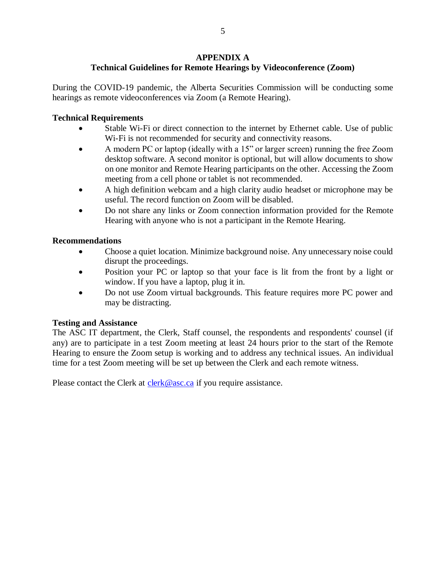### **APPENDIX A**

# **Technical Guidelines for Remote Hearings by Videoconference (Zoom)**

During the COVID-19 pandemic, the Alberta Securities Commission will be conducting some hearings as remote videoconferences via Zoom (a Remote Hearing).

### **Technical Requirements**

- Stable Wi-Fi or direct connection to the internet by Ethernet cable. Use of public Wi-Fi is not recommended for security and connectivity reasons.
- A modern PC or laptop (ideally with a 15" or larger screen) running the free Zoom desktop software. A second monitor is optional, but will allow documents to show on one monitor and Remote Hearing participants on the other. Accessing the Zoom meeting from a cell phone or tablet is not recommended.
- A high definition webcam and a high clarity audio headset or microphone may be useful. The record function on Zoom will be disabled.
- Do not share any links or Zoom connection information provided for the Remote Hearing with anyone who is not a participant in the Remote Hearing.

### **Recommendations**

- Choose a quiet location. Minimize background noise. Any unnecessary noise could disrupt the proceedings.
- Position your PC or laptop so that your face is lit from the front by a light or window. If you have a laptop, plug it in.
- Do not use Zoom virtual backgrounds. This feature requires more PC power and may be distracting.

### **Testing and Assistance**

The ASC IT department, the Clerk, Staff counsel, the respondents and respondents' counsel (if any) are to participate in a test Zoom meeting at least 24 hours prior to the start of the Remote Hearing to ensure the Zoom setup is working and to address any technical issues. An individual time for a test Zoom meeting will be set up between the Clerk and each remote witness.

Please contact the Clerk at [clerk@asc.ca](mailto:clerk@asc.ca) if you require assistance.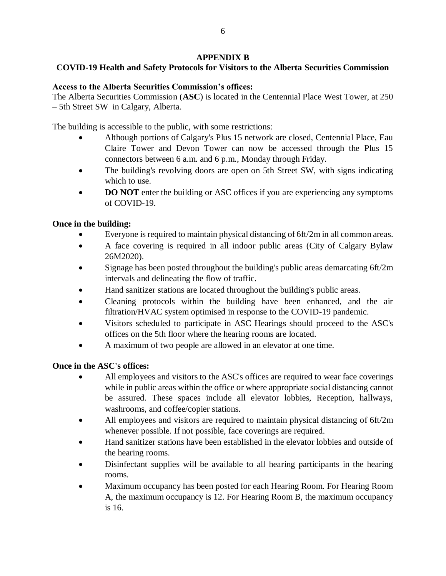### **APPENDIX B**

## **COVID-19 Health and Safety Protocols for Visitors to the Alberta Securities Commission**

#### **Access to the Alberta Securities Commission's offices:**

The Alberta Securities Commission (**ASC**) is located in the Centennial Place West Tower, at 250 – 5th Street SW in Calgary, Alberta.

The building is accessible to the public, with some restrictions:

- Although portions of Calgary's Plus 15 network are closed, Centennial Place, Eau Claire Tower and Devon Tower can now be accessed through the Plus 15 connectors between 6 a.m. and 6 p.m., Monday through Friday.
- The building's revolving doors are open on 5th Street SW, with signs indicating which to use.
- **DO NOT** enter the building or ASC offices if you are experiencing any symptoms of COVID-19.

### **Once in the building:**

- Everyone is required to maintain physical distancing of 6ft/2m in all common areas.
- A face covering is required in all indoor public areas (City of Calgary Bylaw 26M2020).
- Signage has been posted throughout the building's public areas demarcating 6ft/2m intervals and delineating the flow of traffic.
- Hand sanitizer stations are located throughout the building's public areas.
- Cleaning protocols within the building have been enhanced, and the air filtration/HVAC system optimised in response to the COVID-19 pandemic.
- Visitors scheduled to participate in ASC Hearings should proceed to the ASC's offices on the 5th floor where the hearing rooms are located.
- A maximum of two people are allowed in an elevator at one time.

### **Once in the ASC's offices:**

- All employees and visitors to the ASC's offices are required to wear face coverings while in public areas within the office or where appropriate social distancing cannot be assured. These spaces include all elevator lobbies, Reception, hallways, washrooms, and coffee/copier stations.
- All employees and visitors are required to maintain physical distancing of 6ft/2m whenever possible. If not possible, face coverings are required.
- Hand sanitizer stations have been established in the elevator lobbies and outside of the hearing rooms.
- Disinfectant supplies will be available to all hearing participants in the hearing rooms.
- Maximum occupancy has been posted for each Hearing Room. For Hearing Room A, the maximum occupancy is 12. For Hearing Room B, the maximum occupancy is 16.